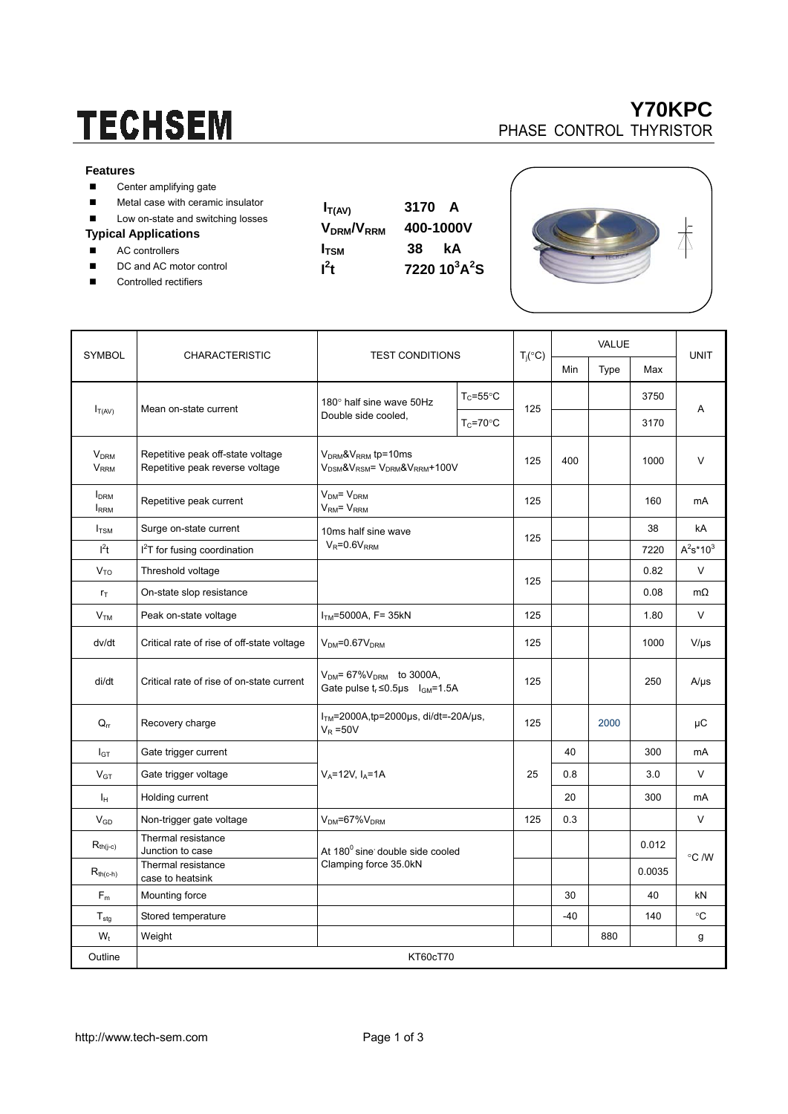# **TECHSEM**

#### **Features**

- Center amplifying gate
- **Metal case with ceramic insulator**
- Low on-state and switching losses

### **Typical Applications**

- AC controllers
- DC and AC motor control
- Controlled rectifiers

| $I_{T(AV)}$                        | 3170<br>A |  |  |  |  |
|------------------------------------|-----------|--|--|--|--|
| V <sub>DRM</sub> /V <sub>RRM</sub> | 400-1000V |  |  |  |  |

**I**<sub>TSM</sub> 38 kA

 $7220\ 10^3A^2S$ 

 $\mathbf{I}^2$ 



 $\overline{\mathbb{A}}$ 

| <b>SYMBOL</b>                                    | <b>CHARACTERISTIC</b>                                                | <b>TEST CONDITIONS</b>                                                                                         |                      | $T_j({}^{\circ}C)$ | VALUE |      |        |              |
|--------------------------------------------------|----------------------------------------------------------------------|----------------------------------------------------------------------------------------------------------------|----------------------|--------------------|-------|------|--------|--------------|
|                                                  |                                                                      |                                                                                                                |                      |                    | Min   | Type | Max    | <b>UNIT</b>  |
| $I_{T(AV)}$                                      | Mean on-state current                                                | 180° half sine wave 50Hz<br>Double side cooled,                                                                | $T_c = 55^{\circ}$ C | 125                |       |      | 3750   | Α            |
|                                                  |                                                                      |                                                                                                                | $T_c = 70$ °C        |                    |       |      | 3170   |              |
| <b>V<sub>DRM</sub></b><br><b>V<sub>RRM</sub></b> | Repetitive peak off-state voltage<br>Repetitive peak reverse voltage | $V_{DRM}$ & $V_{RRM}$ tp=10ms<br>V <sub>DSM</sub> &V <sub>RSM</sub> = V <sub>DRM</sub> &V <sub>RRM</sub> +100V |                      | 125                | 400   |      | 1000   | V            |
| <b>I</b> <sub>DRM</sub><br><b>IRRM</b>           | Repetitive peak current                                              | $VDM = VDRM$<br>$VRM = VRRM$                                                                                   |                      | 125                |       |      | 160    | mA           |
| $I_{TSM}$                                        | Surge on-state current                                               | 10ms half sine wave<br>$V_R = 0.6V_{RRM}$                                                                      |                      | 125                |       |      | 38     | kA           |
| $l^2t$                                           | <sup>2</sup> T for fusing coordination                               |                                                                                                                |                      |                    |       |      | 7220   | $A^2s^*10^3$ |
| $V_{TO}$                                         | Threshold voltage                                                    |                                                                                                                |                      |                    |       |      | 0.82   | $\vee$       |
| $r_T$                                            | On-state slop resistance                                             |                                                                                                                |                      | 125                |       |      | 0.08   | $m\Omega$    |
| V <sub>TM</sub>                                  | Peak on-state voltage                                                | $ITM=5000A, F=35kN$                                                                                            |                      | 125                |       |      | 1.80   | $\vee$       |
| dv/dt                                            | Critical rate of rise of off-state voltage                           | $VDM=0.67VDRM$                                                                                                 |                      | 125                |       |      | 1000   | $V/\mu s$    |
| di/dt                                            | Critical rate of rise of on-state current                            | $V_{DM} = 67\%V_{DRM}$ to 3000A,<br>Gate pulse $t_r \le 0.5$ µs $I_{GM} = 1.5A$                                |                      | 125                |       |      | 250    | $A/\mu s$    |
| $Q_{rr}$                                         | Recovery charge                                                      | $ITM=2000A$ , tp=2000µs, di/dt=-20A/µs,<br>$V_R = 50V$                                                         |                      | 125                |       | 2000 |        | μC           |
| $I_{GT}$                                         | Gate trigger current                                                 | $V_A = 12V$ , $I_A = 1A$                                                                                       |                      | 25                 | 40    |      | 300    | mA           |
| $V_{GT}$                                         | Gate trigger voltage                                                 |                                                                                                                |                      |                    | 0.8   |      | 3.0    | $\vee$       |
| Īн                                               | Holding current                                                      |                                                                                                                |                      |                    | 20    |      | 300    | mA           |
| $\mathsf{V}_{\mathsf{GD}}$                       | Non-trigger gate voltage                                             | $VDM=67%VDRM$                                                                                                  |                      | 125                | 0.3   |      |        | V            |
| $R_{\text{th}(j-c)}$                             | Thermal resistance<br>Junction to case                               | At 180 <sup>0</sup> sine double side cooled<br>Clamping force 35.0kN                                           |                      |                    |       |      | 0.012  |              |
| $R_{th(c-h)}$                                    | Thermal resistance<br>case to heatsink                               |                                                                                                                |                      |                    |       |      | 0.0035 | °C /W        |
| $F_m$                                            | Mounting force                                                       |                                                                                                                |                      |                    | 30    |      | 40     | kN           |
| ${\mathsf T}_{\textsf{stg}}$                     | Stored temperature                                                   |                                                                                                                |                      |                    | $-40$ |      | 140    | °C           |
| $W_t$                                            | Weight                                                               |                                                                                                                |                      |                    |       | 880  |        | g            |
| Outline                                          | KT60cT70                                                             |                                                                                                                |                      |                    |       |      |        |              |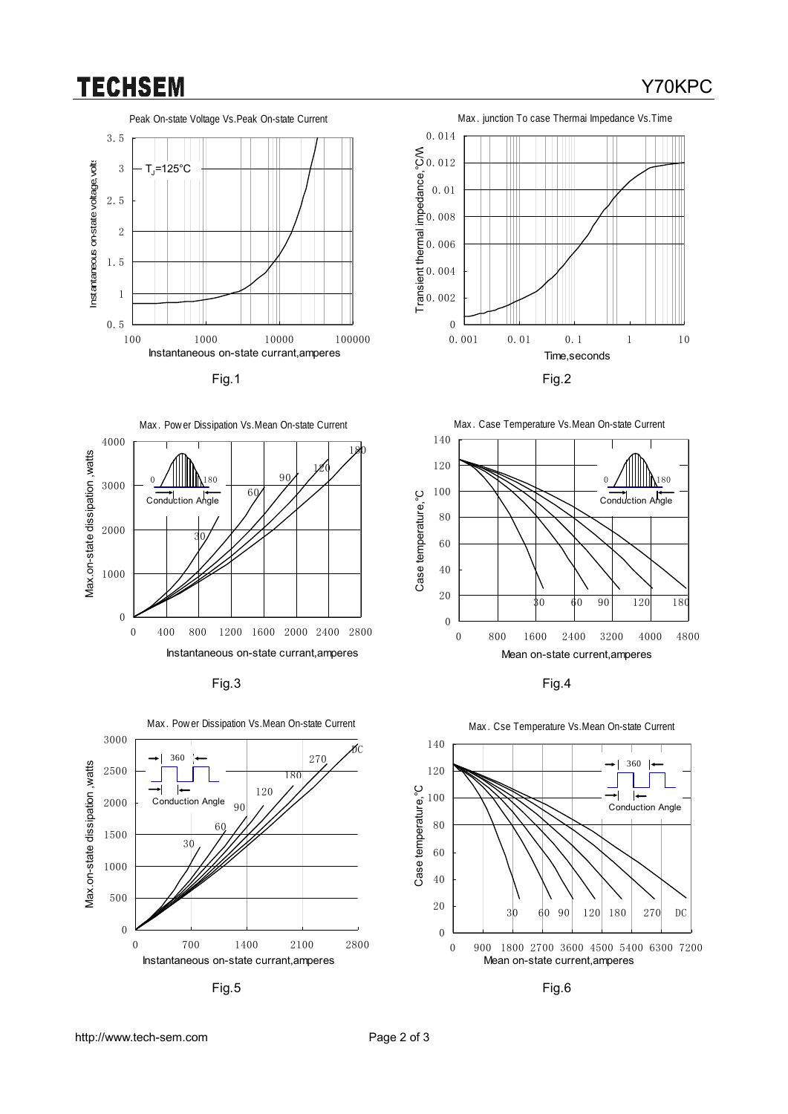### **TECHSEM**





Fig.3 Fig.4



Fig.5 Fig.6









#### Max. Cse Temperature Vs.Mean On-state Current